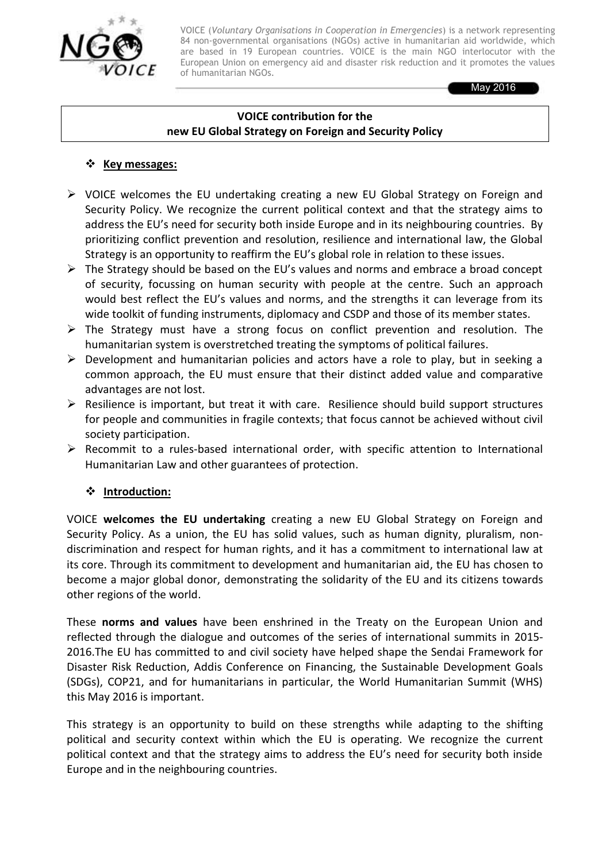

VOICE (*Voluntary Organisations in Cooperation in Emergencies*) is a network representing 84 non-governmental organisations (NGOs) active in humanitarian aid worldwide, which are based in 19 European countries. VOICE is the main NGO interlocutor with the European Union on emergency aid and disaster risk reduction and it promotes the values of humanitarian NGOs.

May 2016

#### **VOICE contribution for the new EU Global Strategy on Foreign and Security Policy**

#### **☆** Key messages:

- $\triangleright$  VOICE welcomes the EU undertaking creating a new EU Global Strategy on Foreign and Security Policy. We recognize the current political context and that the strategy aims to address the EU's need for security both inside Europe and in its neighbouring countries. By prioritizing conflict prevention and resolution, resilience and international law, the Global Strategy is an opportunity to reaffirm the EU's global role in relation to these issues.
- $\triangleright$  The Strategy should be based on the EU's values and norms and embrace a broad concept of security, focussing on human security with people at the centre. Such an approach would best reflect the EU's values and norms, and the strengths it can leverage from its wide toolkit of funding instruments, diplomacy and CSDP and those of its member states.
- $\triangleright$  The Strategy must have a strong focus on conflict prevention and resolution. The humanitarian system is overstretched treating the symptoms of political failures.
- $\triangleright$  Development and humanitarian policies and actors have a role to play, but in seeking a common approach, the EU must ensure that their distinct added value and comparative advantages are not lost.
- $\triangleright$  Resilience is important, but treat it with care. Resilience should build support structures for people and communities in fragile contexts; that focus cannot be achieved without civil society participation.
- $\triangleright$  Recommit to a rules-based international order, with specific attention to International Humanitarian Law and other guarantees of protection.

### **Introduction:**

VOICE **welcomes the EU undertaking** creating a new EU Global Strategy on Foreign and Security Policy. As a union, the EU has solid values, such as human dignity, pluralism, nondiscrimination and respect for human rights, and it has a commitment to international law at its core. Through its commitment to development and humanitarian aid, the EU has chosen to become a major global donor, demonstrating the solidarity of the EU and its citizens towards other regions of the world.

These **norms and values** have been enshrined in the Treaty on the European Union and reflected through the dialogue and outcomes of the series of international summits in 2015- 2016.The EU has committed to and civil society have helped shape the Sendai Framework for Disaster Risk Reduction, Addis Conference on Financing, the Sustainable Development Goals (SDGs), COP21, and for humanitarians in particular, the World Humanitarian Summit (WHS) this May 2016 is important.

This strategy is an opportunity to build on these strengths while adapting to the shifting political and security context within which the EU is operating. We recognize the current political context and that the strategy aims to address the EU's need for security both inside Europe and in the neighbouring countries.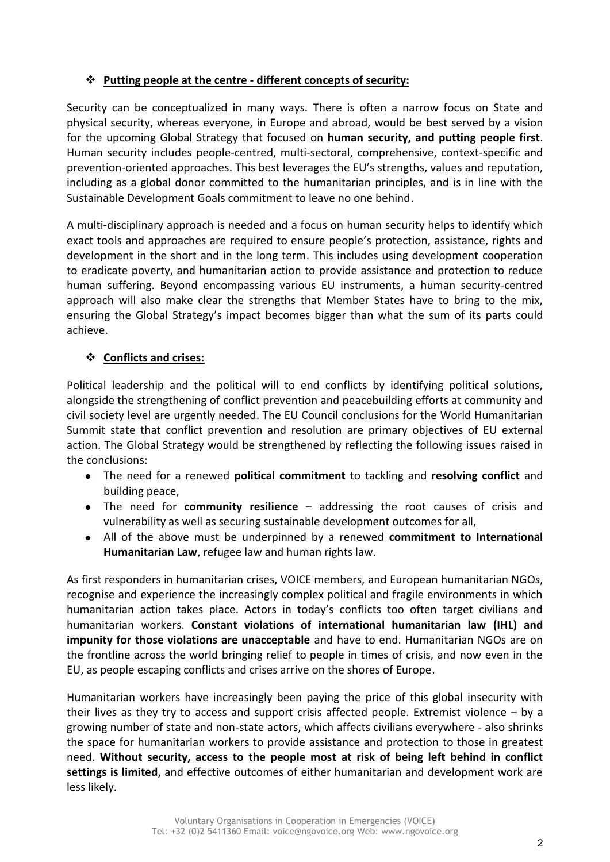## **Putting people at the centre - different concepts of security:**

Security can be conceptualized in many ways. There is often a narrow focus on State and physical security, whereas everyone, in Europe and abroad, would be best served by a vision for the upcoming Global Strategy that focused on **human security, and putting people first**. Human security includes people-centred, multi-sectoral, comprehensive, context-specific and prevention-oriented approaches. This best leverages the EU's strengths, values and reputation, including as a global donor committed to the humanitarian principles, and is in line with the Sustainable Development Goals commitment to leave no one behind.

A multi-disciplinary approach is needed and a focus on human security helps to identify which exact tools and approaches are required to ensure people's protection, assistance, rights and development in the short and in the long term. This includes using development cooperation to eradicate poverty, and humanitarian action to provide assistance and protection to reduce human suffering. Beyond encompassing various EU instruments, a human security-centred approach will also make clear the strengths that Member States have to bring to the mix, ensuring the Global Strategy's impact becomes bigger than what the sum of its parts could achieve.

# **Conflicts and crises:**

Political leadership and the political will to end conflicts by identifying political solutions, alongside the strengthening of conflict prevention and peacebuilding efforts at community and civil society level are urgently needed. The EU Council conclusions for the World Humanitarian Summit state that conflict prevention and resolution are primary objectives of EU external action. The Global Strategy would be strengthened by reflecting the following issues raised in the conclusions:

- The need for a renewed **political commitment** to tackling and **resolving conflict** and building peace,
- The need for **community resilience** addressing the root causes of crisis and vulnerability as well as securing sustainable development outcomes for all,
- All of the above must be underpinned by a renewed **commitment to International**   $\bullet$ **Humanitarian Law**, refugee law and human rights law.

As first responders in humanitarian crises, VOICE members, and European humanitarian NGOs, recognise and experience the increasingly complex political and fragile environments in which humanitarian action takes place. Actors in today's conflicts too often target civilians and humanitarian workers. **Constant violations of international humanitarian law (IHL) and impunity for those violations are unacceptable** and have to end. Humanitarian NGOs are on the frontline across the world bringing relief to people in times of crisis, and now even in the EU, as people escaping conflicts and crises arrive on the shores of Europe.

Humanitarian workers have increasingly been paying the price of this global insecurity with their lives as they try to access and support crisis affected people. Extremist violence – by a growing number of state and non-state actors, which affects civilians everywhere - also shrinks the space for humanitarian workers to provide assistance and protection to those in greatest need. **Without security, access to the people most at risk of being left behind in conflict settings is limited**, and effective outcomes of either humanitarian and development work are less likely.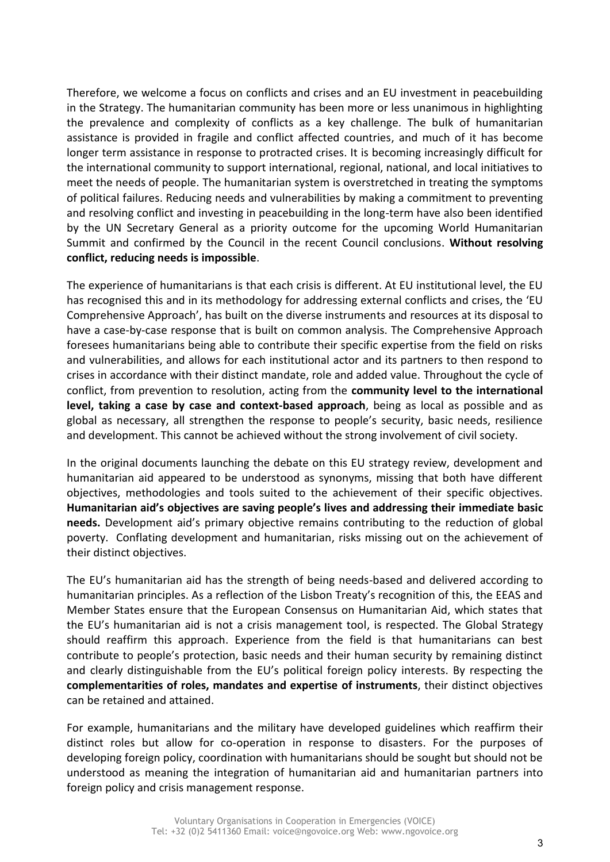Therefore, we welcome a focus on conflicts and crises and an EU investment in peacebuilding in the Strategy. The humanitarian community has been more or less unanimous in highlighting the prevalence and complexity of conflicts as a key challenge. The bulk of humanitarian assistance is provided in fragile and conflict affected countries, and much of it has become longer term assistance in response to protracted crises. It is becoming increasingly difficult for the international community to support international, regional, national, and local initiatives to meet the needs of people. The humanitarian system is overstretched in treating the symptoms of political failures. Reducing needs and vulnerabilities by making a commitment to preventing and resolving conflict and investing in peacebuilding in the long-term have also been identified by the UN Secretary General as a priority outcome for the upcoming World Humanitarian Summit and confirmed by the Council in the recent Council conclusions. **Without resolving conflict, reducing needs is impossible**.

The experience of humanitarians is that each crisis is different. At EU institutional level, the EU has recognised this and in its methodology for addressing external conflicts and crises, the 'EU Comprehensive Approach', has built on the diverse instruments and resources at its disposal to have a case-by-case response that is built on common analysis. The Comprehensive Approach foresees humanitarians being able to contribute their specific expertise from the field on risks and vulnerabilities, and allows for each institutional actor and its partners to then respond to crises in accordance with their distinct mandate, role and added value. Throughout the cycle of conflict, from prevention to resolution, acting from the **community level to the international level, taking a case by case and context-based approach**, being as local as possible and as global as necessary, all strengthen the response to people's security, basic needs, resilience and development. This cannot be achieved without the strong involvement of civil society.

In the original documents launching the debate on this EU strategy review, development and humanitarian aid appeared to be understood as synonyms, missing that both have different objectives, methodologies and tools suited to the achievement of their specific objectives. **Humanitarian aid's objectives are saving people's lives and addressing their immediate basic needs.** Development aid's primary objective remains contributing to the reduction of global poverty. Conflating development and humanitarian, risks missing out on the achievement of their distinct objectives.

The EU's humanitarian aid has the strength of being needs-based and delivered according to humanitarian principles. As a reflection of the Lisbon Treaty's recognition of this, the EEAS and Member States ensure that the European Consensus on Humanitarian Aid, which states that the EU's humanitarian aid is not a crisis management tool, is respected. The Global Strategy should reaffirm this approach. Experience from the field is that humanitarians can best contribute to people's protection, basic needs and their human security by remaining distinct and clearly distinguishable from the EU's political foreign policy interests. By respecting the **complementarities of roles, mandates and expertise of instruments**, their distinct objectives can be retained and attained.

For example, humanitarians and the military have developed guidelines which reaffirm their distinct roles but allow for co-operation in response to disasters. For the purposes of developing foreign policy, coordination with humanitarians should be sought but should not be understood as meaning the integration of humanitarian aid and humanitarian partners into foreign policy and crisis management response.